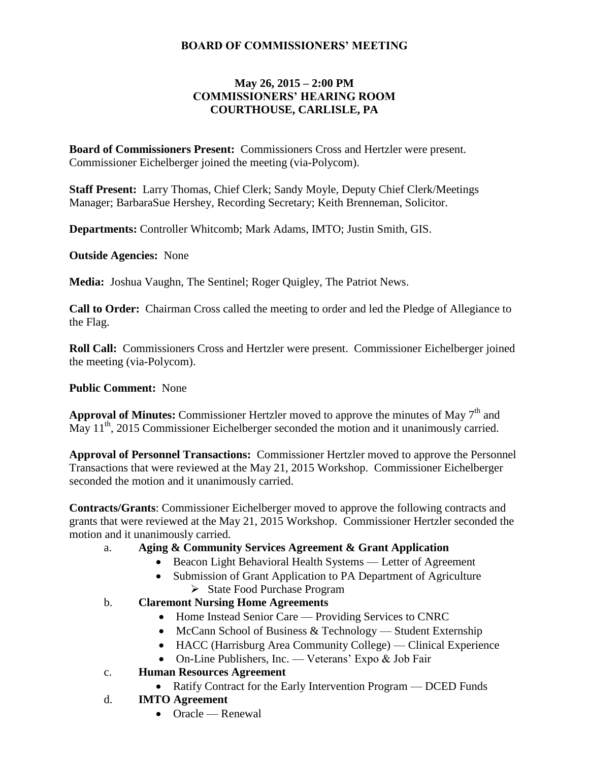# **BOARD OF COMMISSIONERS' MEETING**

### **May 26, 2015 – 2:00 PM COMMISSIONERS' HEARING ROOM COURTHOUSE, CARLISLE, PA**

**Board of Commissioners Present:** Commissioners Cross and Hertzler were present. Commissioner Eichelberger joined the meeting (via-Polycom).

**Staff Present:** Larry Thomas, Chief Clerk; Sandy Moyle, Deputy Chief Clerk/Meetings Manager; BarbaraSue Hershey, Recording Secretary; Keith Brenneman, Solicitor.

**Departments:** Controller Whitcomb; Mark Adams, IMTO; Justin Smith, GIS.

**Outside Agencies:** None

**Media:** Joshua Vaughn, The Sentinel; Roger Quigley, The Patriot News.

**Call to Order:** Chairman Cross called the meeting to order and led the Pledge of Allegiance to the Flag.

**Roll Call:** Commissioners Cross and Hertzler were present. Commissioner Eichelberger joined the meeting (via-Polycom).

#### **Public Comment:** None

Approval of Minutes: Commissioner Hertzler moved to approve the minutes of May 7<sup>th</sup> and May 11<sup>th</sup>, 2015 Commissioner Eichelberger seconded the motion and it unanimously carried.

**Approval of Personnel Transactions:** Commissioner Hertzler moved to approve the Personnel Transactions that were reviewed at the May 21, 2015 Workshop. Commissioner Eichelberger seconded the motion and it unanimously carried.

**Contracts/Grants**: Commissioner Eichelberger moved to approve the following contracts and grants that were reviewed at the May 21, 2015 Workshop. Commissioner Hertzler seconded the motion and it unanimously carried.

# a. **Aging & Community Services Agreement & Grant Application**

- Beacon Light Behavioral Health Systems Letter of Agreement
- Submission of Grant Application to PA Department of Agriculture
	- > State Food Purchase Program
- b. **Claremont Nursing Home Agreements** 
	- Home Instead Senior Care Providing Services to CNRC
	- McCann School of Business  $&$  Technology Student Externship
	- HACC (Harrisburg Area Community College) Clinical Experience
	- On-Line Publishers, Inc. Veterans' Expo & Job Fair
- c. **Human Resources Agreement** 
	- Ratify Contract for the Early Intervention Program DCED Funds
- d. **IMTO Agreement** 
	- Oracle Renewal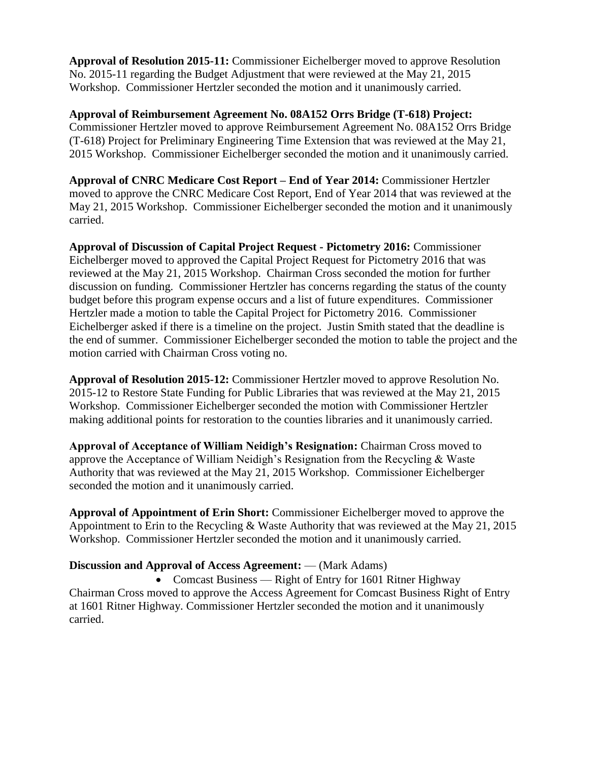**Approval of Resolution 2015-11:** Commissioner Eichelberger moved to approve Resolution No. 2015-11 regarding the Budget Adjustment that were reviewed at the May 21, 2015 Workshop. Commissioner Hertzler seconded the motion and it unanimously carried.

**Approval of Reimbursement Agreement No. 08A152 Orrs Bridge (T-618) Project:** Commissioner Hertzler moved to approve Reimbursement Agreement No. 08A152 Orrs Bridge (T-618) Project for Preliminary Engineering Time Extension that was reviewed at the May 21, 2015 Workshop. Commissioner Eichelberger seconded the motion and it unanimously carried.

**Approval of CNRC Medicare Cost Report – End of Year 2014:** Commissioner Hertzler moved to approve the CNRC Medicare Cost Report, End of Year 2014 that was reviewed at the May 21, 2015 Workshop. Commissioner Eichelberger seconded the motion and it unanimously carried.

**Approval of Discussion of Capital Project Request - Pictometry 2016:** Commissioner Eichelberger moved to approved the Capital Project Request for Pictometry 2016 that was reviewed at the May 21, 2015 Workshop. Chairman Cross seconded the motion for further discussion on funding. Commissioner Hertzler has concerns regarding the status of the county budget before this program expense occurs and a list of future expenditures. Commissioner Hertzler made a motion to table the Capital Project for Pictometry 2016. Commissioner Eichelberger asked if there is a timeline on the project. Justin Smith stated that the deadline is the end of summer. Commissioner Eichelberger seconded the motion to table the project and the motion carried with Chairman Cross voting no.

**Approval of Resolution 2015-12:** Commissioner Hertzler moved to approve Resolution No. 2015-12 to Restore State Funding for Public Libraries that was reviewed at the May 21, 2015 Workshop. Commissioner Eichelberger seconded the motion with Commissioner Hertzler making additional points for restoration to the counties libraries and it unanimously carried.

**Approval of Acceptance of William Neidigh's Resignation:** Chairman Cross moved to approve the Acceptance of William Neidigh's Resignation from the Recycling & Waste Authority that was reviewed at the May 21, 2015 Workshop. Commissioner Eichelberger seconded the motion and it unanimously carried.

**Approval of Appointment of Erin Short:** Commissioner Eichelberger moved to approve the Appointment to Erin to the Recycling & Waste Authority that was reviewed at the May 21, 2015 Workshop. Commissioner Hertzler seconded the motion and it unanimously carried.

#### **Discussion and Approval of Access Agreement:** — (Mark Adams)

• Comcast Business — Right of Entry for 1601 Ritner Highway Chairman Cross moved to approve the Access Agreement for Comcast Business Right of Entry at 1601 Ritner Highway. Commissioner Hertzler seconded the motion and it unanimously carried.